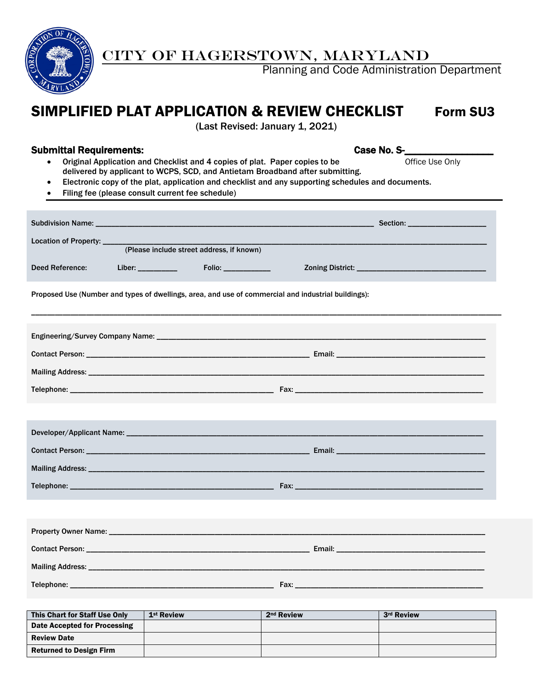

## CITY OF HAGERSTOWN, MARYLAND

Planning and Code Administration Department

# SIMPLIFIED PLAT APPLICATION & REVIEW CHECKLIST Form SU3

(Last Revised: January 1, 2021)

#### Submittal Requirements: Case No. S-

- Original Application and Checklist and 4 copies of plat. Paper copies to be Office Use Only delivered by applicant to WCPS, SCD, and Antietam Broadband after submitting.
- Electronic copy of the plat, application and checklist and any supporting schedules and documents.
- Filing fee (please consult current fee schedule)

| Location of Property: ____ |                                                                                                     |                                           |  |  |  |  |  |  |
|----------------------------|-----------------------------------------------------------------------------------------------------|-------------------------------------------|--|--|--|--|--|--|
|                            |                                                                                                     | (Please include street address, if known) |  |  |  |  |  |  |
| Deed Reference:            |                                                                                                     |                                           |  |  |  |  |  |  |
|                            | Proposed Use (Number and types of dwellings, area, and use of commercial and industrial buildings): |                                           |  |  |  |  |  |  |
|                            |                                                                                                     |                                           |  |  |  |  |  |  |
|                            |                                                                                                     |                                           |  |  |  |  |  |  |
|                            |                                                                                                     |                                           |  |  |  |  |  |  |
|                            |                                                                                                     |                                           |  |  |  |  |  |  |
|                            |                                                                                                     |                                           |  |  |  |  |  |  |
|                            |                                                                                                     |                                           |  |  |  |  |  |  |
|                            |                                                                                                     |                                           |  |  |  |  |  |  |
|                            |                                                                                                     |                                           |  |  |  |  |  |  |
|                            |                                                                                                     |                                           |  |  |  |  |  |  |
|                            |                                                                                                     |                                           |  |  |  |  |  |  |
|                            |                                                                                                     |                                           |  |  |  |  |  |  |
|                            |                                                                                                     |                                           |  |  |  |  |  |  |
|                            |                                                                                                     |                                           |  |  |  |  |  |  |
|                            |                                                                                                     |                                           |  |  |  |  |  |  |
|                            |                                                                                                     |                                           |  |  |  |  |  |  |

| This Chart for Staff Use Only  | 1 <sup>st</sup> Review | 2 <sup>nd</sup> Review | 3rd Review |
|--------------------------------|------------------------|------------------------|------------|
| Date Accepted for Processing   |                        |                        |            |
| <b>Review Date</b>             |                        |                        |            |
| <b>Returned to Design Firm</b> |                        |                        |            |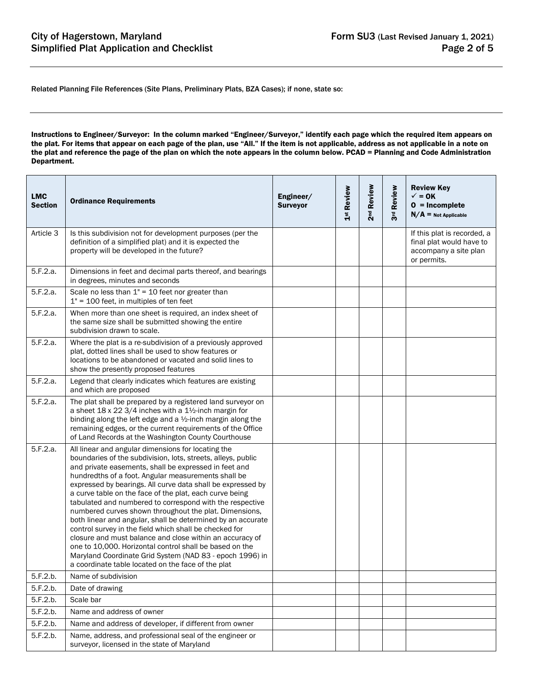Related Planning File References (Site Plans, Preliminary Plats, BZA Cases); if none, state so:

Instructions to Engineer/Surveyor: In the column marked "Engineer/Surveyor," identify each page which the required item appears on the plat. For items that appear on each page of the plan, use "All." If the item is not applicable, address as not applicable in a note on the plat and reference the page of the plan on which the note appears in the column below. PCAD = Planning and Code Administration Department.

| <b>LMC</b><br><b>Section</b> | <b>Ordinance Requirements</b>                                                                                                                                                                                                                                                                                                                                                                                                                                                                                                                                                                                                                                                                                                                                                                                                                        | Engineer/<br><b>Surveyor</b> | 1 <sup>st</sup> Review | Review<br>2 <sup>nd</sup> | Review<br>შ<br>ვ | <b>Review Key</b><br>$\sqrt{}=$ OK<br>$0 = Incomplete$<br>$N/A$ = Not Applicable                |
|------------------------------|------------------------------------------------------------------------------------------------------------------------------------------------------------------------------------------------------------------------------------------------------------------------------------------------------------------------------------------------------------------------------------------------------------------------------------------------------------------------------------------------------------------------------------------------------------------------------------------------------------------------------------------------------------------------------------------------------------------------------------------------------------------------------------------------------------------------------------------------------|------------------------------|------------------------|---------------------------|------------------|-------------------------------------------------------------------------------------------------|
| Article 3                    | Is this subdivision not for development purposes (per the<br>definition of a simplified plat) and it is expected the<br>property will be developed in the future?                                                                                                                                                                                                                                                                                                                                                                                                                                                                                                                                                                                                                                                                                    |                              |                        |                           |                  | If this plat is recorded, a<br>final plat would have to<br>accompany a site plan<br>or permits. |
| 5.F.2.a.                     | Dimensions in feet and decimal parts thereof, and bearings<br>in degrees, minutes and seconds                                                                                                                                                                                                                                                                                                                                                                                                                                                                                                                                                                                                                                                                                                                                                        |                              |                        |                           |                  |                                                                                                 |
| 5.F.2.a.                     | Scale no less than $1" = 10$ feet nor greater than<br>$1" = 100$ feet, in multiples of ten feet                                                                                                                                                                                                                                                                                                                                                                                                                                                                                                                                                                                                                                                                                                                                                      |                              |                        |                           |                  |                                                                                                 |
| 5.F.2.a.                     | When more than one sheet is required, an index sheet of<br>the same size shall be submitted showing the entire<br>subdivision drawn to scale.                                                                                                                                                                                                                                                                                                                                                                                                                                                                                                                                                                                                                                                                                                        |                              |                        |                           |                  |                                                                                                 |
| 5.F.2.a.                     | Where the plat is a re-subdivision of a previously approved<br>plat, dotted lines shall be used to show features or<br>locations to be abandoned or vacated and solid lines to<br>show the presently proposed features                                                                                                                                                                                                                                                                                                                                                                                                                                                                                                                                                                                                                               |                              |                        |                           |                  |                                                                                                 |
| 5.F.2.a.                     | Legend that clearly indicates which features are existing<br>and which are proposed                                                                                                                                                                                                                                                                                                                                                                                                                                                                                                                                                                                                                                                                                                                                                                  |                              |                        |                           |                  |                                                                                                 |
| 5.F.2.a.                     | The plat shall be prepared by a registered land surveyor on<br>a sheet $18 \times 22 \frac{3}{4}$ inches with a $1\frac{1}{2}$ -inch margin for<br>binding along the left edge and a 1/2-inch margin along the<br>remaining edges, or the current requirements of the Office<br>of Land Records at the Washington County Courthouse                                                                                                                                                                                                                                                                                                                                                                                                                                                                                                                  |                              |                        |                           |                  |                                                                                                 |
| 5.F.2.a.                     | All linear and angular dimensions for locating the<br>boundaries of the subdivision, lots, streets, alleys, public<br>and private easements, shall be expressed in feet and<br>hundredths of a foot. Angular measurements shall be<br>expressed by bearings. All curve data shall be expressed by<br>a curve table on the face of the plat, each curve being<br>tabulated and numbered to correspond with the respective<br>numbered curves shown throughout the plat. Dimensions,<br>both linear and angular, shall be determined by an accurate<br>control survey in the field which shall be checked for<br>closure and must balance and close within an accuracy of<br>one to 10,000. Horizontal control shall be based on the<br>Maryland Coordinate Grid System (NAD 83 - epoch 1996) in<br>a coordinate table located on the face of the plat |                              |                        |                           |                  |                                                                                                 |
| 5.F.2.b.                     | Name of subdivision                                                                                                                                                                                                                                                                                                                                                                                                                                                                                                                                                                                                                                                                                                                                                                                                                                  |                              |                        |                           |                  |                                                                                                 |
| 5.F.2.b.                     | Date of drawing                                                                                                                                                                                                                                                                                                                                                                                                                                                                                                                                                                                                                                                                                                                                                                                                                                      |                              |                        |                           |                  |                                                                                                 |
| 5.F.2.b.                     | Scale bar                                                                                                                                                                                                                                                                                                                                                                                                                                                                                                                                                                                                                                                                                                                                                                                                                                            |                              |                        |                           |                  |                                                                                                 |
| 5.F.2.b.                     | Name and address of owner                                                                                                                                                                                                                                                                                                                                                                                                                                                                                                                                                                                                                                                                                                                                                                                                                            |                              |                        |                           |                  |                                                                                                 |
| 5.F.2.b.                     | Name and address of developer, if different from owner                                                                                                                                                                                                                                                                                                                                                                                                                                                                                                                                                                                                                                                                                                                                                                                               |                              |                        |                           |                  |                                                                                                 |
| 5.F.2.b.                     | Name, address, and professional seal of the engineer or<br>surveyor, licensed in the state of Maryland                                                                                                                                                                                                                                                                                                                                                                                                                                                                                                                                                                                                                                                                                                                                               |                              |                        |                           |                  |                                                                                                 |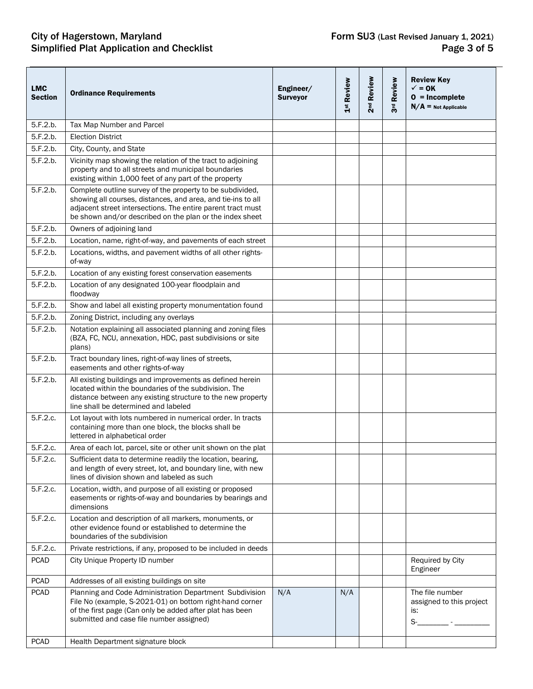### City of Hagerstown, Maryland **Form SU3** (Last Revised January 1, 2021) Simplified Plat Application and Checklist **Page 3** of 5

| <b>LMC</b><br><b>Section</b> | <b>Ordinance Requirements</b>                                                                                                                                                                                                                        | Engineer/<br><b>Surveyor</b> | 1st Review | 2 <sup>nd</sup> Review | Review<br>3 <sup>rd</sup> | <b>Review Key</b><br>$\checkmark$ = 0K<br>$0 = Incomplete$<br>$N/A$ = Not Applicable |
|------------------------------|------------------------------------------------------------------------------------------------------------------------------------------------------------------------------------------------------------------------------------------------------|------------------------------|------------|------------------------|---------------------------|--------------------------------------------------------------------------------------|
| 5.F.2.b.                     | Tax Map Number and Parcel                                                                                                                                                                                                                            |                              |            |                        |                           |                                                                                      |
| 5.F.2.b.                     | <b>Election District</b>                                                                                                                                                                                                                             |                              |            |                        |                           |                                                                                      |
| 5.F.2.b.                     | City, County, and State                                                                                                                                                                                                                              |                              |            |                        |                           |                                                                                      |
| 5.F.2.b.                     | Vicinity map showing the relation of the tract to adjoining<br>property and to all streets and municipal boundaries<br>existing within 1,000 feet of any part of the property                                                                        |                              |            |                        |                           |                                                                                      |
| 5.F.2.b.                     | Complete outline survey of the property to be subdivided,<br>showing all courses, distances, and area, and tie-ins to all<br>adjacent street intersections. The entire parent tract must<br>be shown and/or described on the plan or the index sheet |                              |            |                        |                           |                                                                                      |
| 5.F.2.b.                     | Owners of adjoining land                                                                                                                                                                                                                             |                              |            |                        |                           |                                                                                      |
| 5.F.2.b.                     | Location, name, right-of-way, and pavements of each street                                                                                                                                                                                           |                              |            |                        |                           |                                                                                      |
| 5.F.2.b.                     | Locations, widths, and pavement widths of all other rights-<br>of-way                                                                                                                                                                                |                              |            |                        |                           |                                                                                      |
| 5.F.2.b.                     | Location of any existing forest conservation easements                                                                                                                                                                                               |                              |            |                        |                           |                                                                                      |
| 5.F.2.b.                     | Location of any designated 100-year floodplain and<br>floodway                                                                                                                                                                                       |                              |            |                        |                           |                                                                                      |
| 5.F.2.b.                     | Show and label all existing property monumentation found                                                                                                                                                                                             |                              |            |                        |                           |                                                                                      |
| 5.F.2.b.                     | Zoning District, including any overlays                                                                                                                                                                                                              |                              |            |                        |                           |                                                                                      |
| 5.F.2.b.                     | Notation explaining all associated planning and zoning files<br>(BZA, FC, NCU, annexation, HDC, past subdivisions or site<br>plans)                                                                                                                  |                              |            |                        |                           |                                                                                      |
| 5.F.2.b.                     | Tract boundary lines, right-of-way lines of streets,<br>easements and other rights-of-way                                                                                                                                                            |                              |            |                        |                           |                                                                                      |
| 5.F.2.b.                     | All existing buildings and improvements as defined herein<br>located within the boundaries of the subdivision. The<br>distance between any existing structure to the new property<br>line shall be determined and labeled                            |                              |            |                        |                           |                                                                                      |
| 5.F.2.c.                     | Lot layout with lots numbered in numerical order. In tracts<br>containing more than one block, the blocks shall be<br>lettered in alphabetical order                                                                                                 |                              |            |                        |                           |                                                                                      |
| 5.F.2.c.                     | Area of each lot, parcel, site or other unit shown on the plat                                                                                                                                                                                       |                              |            |                        |                           |                                                                                      |
| 5.F.2.c.                     | Sufficient data to determine readily the location, bearing,<br>and length of every street, lot, and boundary line, with new<br>lines of division shown and labeled as such                                                                           |                              |            |                        |                           |                                                                                      |
| 5.F.2.c.                     | Location, width, and purpose of all existing or proposed<br>easements or rights-of-way and boundaries by bearings and<br>dimensions                                                                                                                  |                              |            |                        |                           |                                                                                      |
| 5.F.2.c.                     | Location and description of all markers, monuments, or<br>other evidence found or established to determine the<br>boundaries of the subdivision                                                                                                      |                              |            |                        |                           |                                                                                      |
| 5.F.2.c.                     | Private restrictions, if any, proposed to be included in deeds                                                                                                                                                                                       |                              |            |                        |                           |                                                                                      |
| <b>PCAD</b>                  | City Unique Property ID number                                                                                                                                                                                                                       |                              |            |                        |                           | Required by City<br>Engineer                                                         |
| <b>PCAD</b>                  | Addresses of all existing buildings on site                                                                                                                                                                                                          |                              |            |                        |                           |                                                                                      |
| <b>PCAD</b>                  | Planning and Code Administration Department Subdivision<br>File No (example, S-2021-01) on bottom right-hand corner<br>of the first page (Can only be added after plat has been<br>submitted and case file number assigned)                          | N/A                          | N/A        |                        |                           | The file number<br>assigned to this project<br>is:<br>$S$ - $\qquad$ -               |
| <b>PCAD</b>                  | Health Department signature block                                                                                                                                                                                                                    |                              |            |                        |                           |                                                                                      |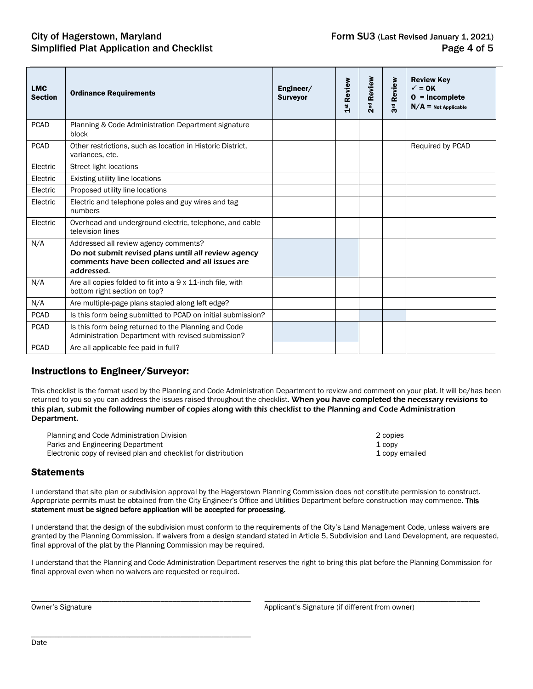#### City of Hagerstown, Maryland Form SU3 (Last Revised January 1, 2021) Simplified Plat Application and Checklist **Page 4 of 5** and  $P$  and  $P$  and  $P$  and  $P$  and  $P$  and  $P$  and  $P$  and  $P$  and  $P$  and  $P$  and  $P$  and  $P$  and  $P$  and  $P$  and  $P$  and  $P$  and  $P$  and  $P$  and  $P$  and  $P$  and  $P$

| <b>LMC</b><br><b>Section</b> | <b>Ordinance Requirements</b>                                                                                                                                 | Engineer/<br><b>Surveyor</b> | Review<br>$\frac{st}{1}$ | 2 <sup>nd</sup> Review | Review<br>돧<br>$\infty$ | <b>Review Key</b><br>$\checkmark$ = 0K<br>$0 = Incomplete$<br>$N/A =$ Not Applicable |
|------------------------------|---------------------------------------------------------------------------------------------------------------------------------------------------------------|------------------------------|--------------------------|------------------------|-------------------------|--------------------------------------------------------------------------------------|
| <b>PCAD</b>                  | Planning & Code Administration Department signature<br>block                                                                                                  |                              |                          |                        |                         |                                                                                      |
| <b>PCAD</b>                  | Other restrictions, such as location in Historic District,<br>variances, etc.                                                                                 |                              |                          |                        |                         | Required by PCAD                                                                     |
| Electric                     | <b>Street light locations</b>                                                                                                                                 |                              |                          |                        |                         |                                                                                      |
| Electric                     | Existing utility line locations                                                                                                                               |                              |                          |                        |                         |                                                                                      |
| Electric                     | Proposed utility line locations                                                                                                                               |                              |                          |                        |                         |                                                                                      |
| Electric                     | Electric and telephone poles and guy wires and tag<br>numbers                                                                                                 |                              |                          |                        |                         |                                                                                      |
| Electric                     | Overhead and underground electric, telephone, and cable<br>television lines                                                                                   |                              |                          |                        |                         |                                                                                      |
| N/A                          | Addressed all review agency comments?<br>Do not submit revised plans until all review agency<br>comments have been collected and all issues are<br>addressed. |                              |                          |                        |                         |                                                                                      |
| N/A                          | Are all copies folded to fit into a 9 x 11-inch file, with<br>bottom right section on top?                                                                    |                              |                          |                        |                         |                                                                                      |
| N/A                          | Are multiple-page plans stapled along left edge?                                                                                                              |                              |                          |                        |                         |                                                                                      |
| <b>PCAD</b>                  | Is this form being submitted to PCAD on initial submission?                                                                                                   |                              |                          |                        |                         |                                                                                      |
| <b>PCAD</b>                  | Is this form being returned to the Planning and Code<br>Administration Department with revised submission?                                                    |                              |                          |                        |                         |                                                                                      |
| <b>PCAD</b>                  | Are all applicable fee paid in full?                                                                                                                          |                              |                          |                        |                         |                                                                                      |

#### Instructions to Engineer/Surveyor:

This checklist is the format used by the Planning and Code Administration Department to review and comment on your plat. It will be/has been returned to you so you can address the issues raised throughout the checklist. When you have completed the necessary revisions to this plan, submit the following number of copies along with this checklist to the Planning and Code Administration Department.

| Planning and Code Administration Division                      | 2 copies       |
|----------------------------------------------------------------|----------------|
| Parks and Engineering Department                               | 1 copy         |
| Electronic copy of revised plan and checklist for distribution | 1 copy emailed |

| 2 copies       |
|----------------|
| 1 copy         |
| 1 copy emailed |

#### **Statements**

I understand that site plan or subdivision approval by the Hagerstown Planning Commission does not constitute permission to construct. Appropriate permits must be obtained from the City Engineer's Office and Utilities Department before construction may commence. This statement must be signed before application will be accepted for processing.

I understand that the design of the subdivision must conform to the requirements of the City's Land Management Code, unless waivers are granted by the Planning Commission. If waivers from a design standard stated in Article 5, Subdivision and Land Development, are requested, final approval of the plat by the Planning Commission may be required.

I understand that the Planning and Code Administration Department reserves the right to bring this plat before the Planning Commission for final approval even when no waivers are requested or required.

\_\_\_\_\_\_\_\_\_\_\_\_\_\_\_\_\_\_\_\_\_\_\_\_\_\_\_\_\_\_\_\_\_\_\_\_\_\_\_\_\_\_\_\_\_\_\_\_\_\_\_\_\_\_\_\_ \_\_\_\_\_\_\_\_\_\_\_\_\_\_\_\_\_\_\_\_\_\_\_\_\_\_\_\_\_\_\_\_\_\_\_\_\_\_\_\_\_\_\_\_\_\_\_\_\_\_\_\_\_\_\_ Owner's Signature **Applicant's Signature Applicant's Signature** (if different from owner)